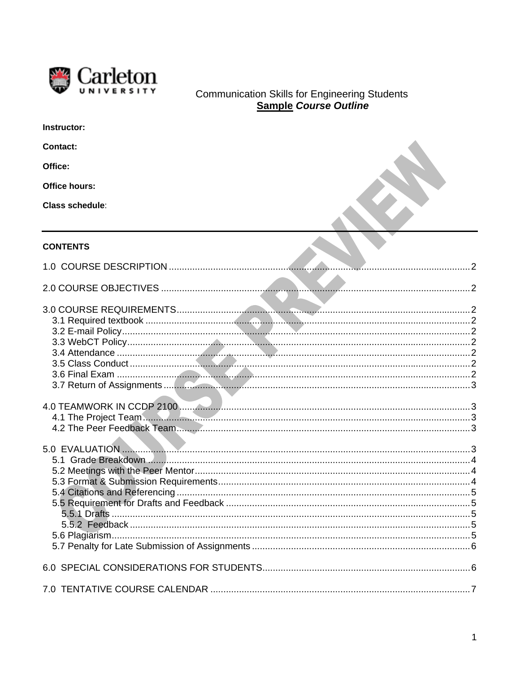

# Communication Skills for Engineering Students<br>
Sample Course Outline

| Instructor:            |  |
|------------------------|--|
| <b>Contact:</b>        |  |
| Office:                |  |
| <b>Office hours:</b>   |  |
| <b>Class schedule:</b> |  |
| <b>CONTENTS</b>        |  |
|                        |  |
|                        |  |
|                        |  |
|                        |  |
|                        |  |
|                        |  |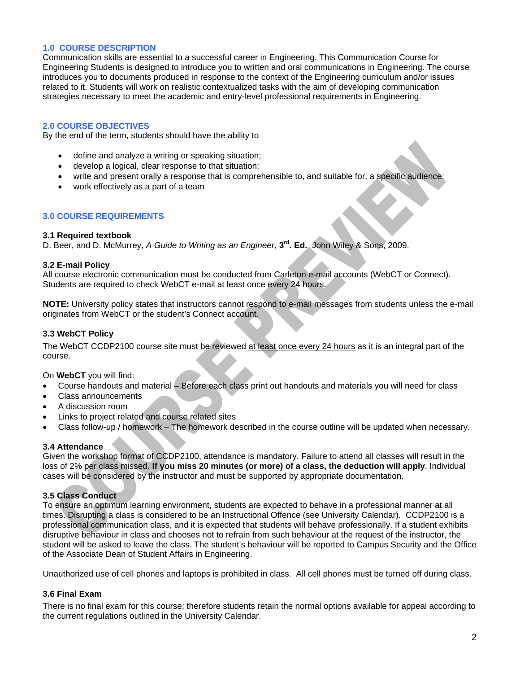# **1.0 COURSE DESCRIPTION**

Communication skills are essential to a successful career in Engineering. This Communication Course for Engineering Students is designed to introduce you to written and oral communications in Engineering. The course introduces you to documents produced in response to the context of the Engineering curriculum and/or issues related to it. Students will work on realistic contextualized tasks with the aim of developing communication strategies necessary to meet the academic and entry-level professional requirements in Engineering.

# **2.0 COURSE OBJECTIVES**

By the end of the term, students should have the ability to

- define and analyze a writing or speaking situation;
- develop a logical, clear response to that situation;
- write and present orally a response that is comprehensible to, and suitable for, a specific audience;
- work effectively as a part of a team

# **3.0 COURSE REQUIREMENTS**

#### **3.1 Required textbook**

D. Beer, and D. McMurrey, *A Guide to Writing as an Engineer*, **3rd. Ed.** John Wiley & Sons, 2009.

#### **3.2 E-mail Policy**

All course electronic communication must be conducted from Carleton e-mail accounts (WebCT or Connect). Students are required to check WebCT e-mail at least once every 24 hours.

**NOTE:** University policy states that instructors cannot respond to e-mail messages from students unless the e-mail originates from WebCT or the student's Connect account.

# **3.3 WebCT Policy**

The WebCT CCDP2100 course site must be reviewed at least once every 24 hours as it is an integral part of the course.

On **WebCT** you will find:

- Course handouts and material Before each class print out handouts and materials you will need for class
- Class announcements
- A discussion room
- Links to project related and course related sites
- Class follow-up / homework The homework described in the course outline will be updated when necessary.

#### **3.4 Attendance**

Given the workshop format of CCDP2100, attendance is mandatory. Failure to attend all classes will result in the loss of 2% per class missed. **If you miss 20 minutes (or more) of a class, the deduction will apply**. Individual cases will be considered by the instructor and must be supported by appropriate documentation.

# **3.5 Class Conduct**

To ensure an optimum learning environment, students are expected to behave in a professional manner at all times. Disrupting a class is considered to be an Instructional Offence (see University Calendar). CCDP2100 is a professional communication class, and it is expected that students will behave professionally. If a student exhibits disruptive behaviour in class and chooses not to refrain from such behaviour at the request of the instructor, the student will be asked to leave the class. The student's behaviour will be reported to Campus Security and the Office of the Associate Dean of Student Affairs in Engineering.

Unauthorized use of cell phones and laptops is prohibited in class. All cell phones must be turned off during class.

# **3.6 Final Exam**

There is no final exam for this course; therefore students retain the normal options available for appeal according to the current regulations outlined in the University Calendar.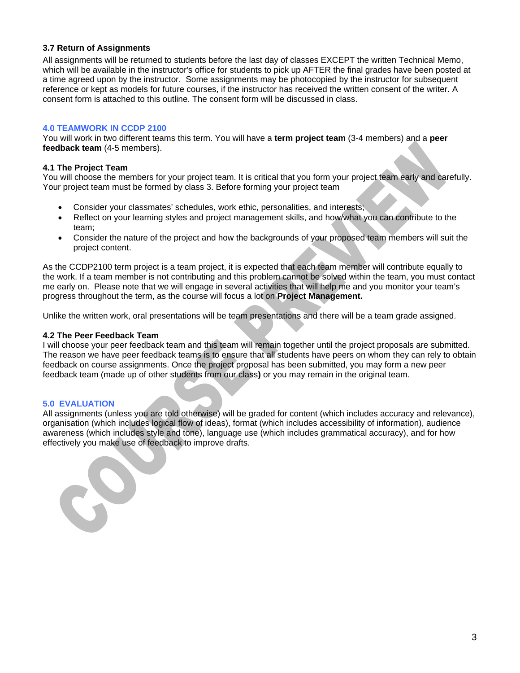# **3.7 Return of Assignments**

All assignments will be returned to students before the last day of classes EXCEPT the written Technical Memo, which will be available in the instructor's office for students to pick up AFTER the final grades have been posted at a time agreed upon by the instructor. Some assignments may be photocopied by the instructor for subsequent reference or kept as models for future courses, if the instructor has received the written consent of the writer. A consent form is attached to this outline. The consent form will be discussed in class.

# **4.0 TEAMWORK IN CCDP 2100**

You will work in two different teams this term. You will have a **term project team** (3-4 members) and a **peer feedback team** (4-5 members).

#### **4.1 The Project Team**

You will choose the members for your project team. It is critical that you form your project team early and carefully. Your project team must be formed by class 3. Before forming your project team

- Consider your classmates' schedules, work ethic, personalities, and interests;
- Reflect on your learning styles and project management skills, and how/what you can contribute to the team;
- Consider the nature of the project and how the backgrounds of your proposed team members will suit the project content.

As the CCDP2100 term project is a team project, it is expected that each team member will contribute equally to the work. If a team member is not contributing and this problem cannot be solved within the team, you must contact me early on. Please note that we will engage in several activities that will help me and you monitor your team's progress throughout the term, as the course will focus a lot on **Project Management.** 

Unlike the written work, oral presentations will be team presentations and there will be a team grade assigned.

# **4.2 The Peer Feedback Team**

I will choose your peer feedback team and this team will remain together until the project proposals are submitted. The reason we have peer feedback teams is to ensure that all students have peers on whom they can rely to obtain feedback on course assignments. Once the project proposal has been submitted, you may form a new peer feedback team (made up of other students from our class**)** or you may remain in the original team.

# **5.0 EVALUATION**

C

All assignments (unless you are told otherwise) will be graded for content (which includes accuracy and relevance), organisation (which includes logical flow of ideas), format (which includes accessibility of information), audience awareness (which includes style and tone), language use (which includes grammatical accuracy), and for how effectively you make use of feedback to improve drafts.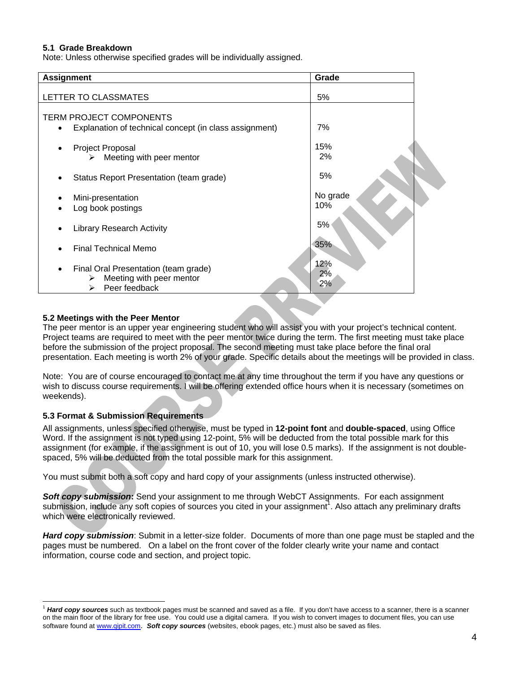# **5.1 Grade Breakdown**

Note: Unless otherwise specified grades will be individually assigned.

| <b>Assignment</b>                                                                           | Grade              |  |
|---------------------------------------------------------------------------------------------|--------------------|--|
| LETTER TO CLASSMATES                                                                        | 5%                 |  |
| <b>TERM PROJECT COMPONENTS</b><br>Explanation of technical concept (in class assignment)    | 7%                 |  |
| <b>Project Proposal</b><br>٠<br>Meeting with peer mentor<br>➤                               | 15%<br>2%          |  |
| Status Report Presentation (team grade)                                                     | 5%                 |  |
| Mini-presentation<br>Log book postings                                                      | No grade<br>10%    |  |
| <b>Library Research Activity</b>                                                            | 5%                 |  |
| Final Technical Memo                                                                        | 35%                |  |
| Final Oral Presentation (team grade)<br>Meeting with peer mentor<br>⋗<br>Peer feedback<br>⋗ | 12%<br>$2\%$<br>2% |  |

# **5.2 Meetings with the Peer Mentor**

The peer mentor is an upper year engineering student who will assist you with your project's technical content. Project teams are required to meet with the peer mentor twice during the term. The first meeting must take place before the submission of the project proposal. The second meeting must take place before the final oral presentation. Each meeting is worth 2% of your grade. Specific details about the meetings will be provided in class.

Note: You are of course encouraged to contact me at any time throughout the term if you have any questions or wish to discuss course requirements. I will be offering extended office hours when it is necessary (sometimes on weekends).

# **5.3 Format & Submission Requirements**

All assignments, unless specified otherwise, must be typed in **12-point font** and **double-spaced**, using Office Word. If the assignment is not typed using 12-point, 5% will be deducted from the total possible mark for this assignment (for example, if the assignment is out of 10, you will lose 0.5 marks). If the assignment is not doublespaced, 5% will be deducted from the total possible mark for this assignment.

You must submit both a soft copy and hard copy of your assignments (unless instructed otherwise).

*Soft copy submission***:** Send your assignment to me through WebCT Assignments. For each assignment submission, include any soft copies of sources you cited in your assignment<sup>1</sup>. Also attach any preliminary drafts which were electronically reviewed.

*Hard copy submission*: Submit in a letter-size folder. Documents of more than one page must be stapled and the pages must be numbered. On a label on the front cover of the folder clearly write your name and contact information, course code and section, and project topic.

Hard copy sources such as textbook pages must be scanned and saved as a file. If you don't have access to a scanner, there is a scanner on the main floor of the library for free use. You could use a digital camera. If you wish to convert images to document files, you can use software found at www.qipit.com. *Soft copy sources* (websites, ebook pages, etc.) must also be saved as files.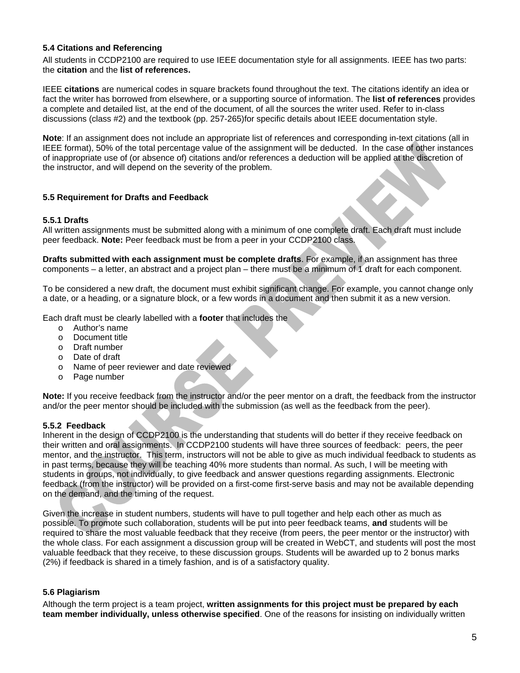# **5.4 Citations and Referencing**

All students in CCDP2100 are required to use IEEE documentation style for all assignments. IEEE has two parts: the **citation** and the **list of references.** 

IEEE **citations** are numerical codes in square brackets found throughout the text. The citations identify an idea or fact the writer has borrowed from elsewhere, or a supporting source of information. The **list of references** provides a complete and detailed list, at the end of the document, of all the sources the writer used. Refer to in-class discussions (class #2) and the textbook (pp. 257-265)for specific details about IEEE documentation style.

**Note**: If an assignment does not include an appropriate list of references and corresponding in-text citations (all in IEEE format), 50% of the total percentage value of the assignment will be deducted. In the case of other instances of inappropriate use of (or absence of) citations and/or references a deduction will be applied at the discretion of the instructor, and will depend on the severity of the problem.

# **5.5 Requirement for Drafts and Feedback**

# **5.5.1 Drafts**

All written assignments must be submitted along with a minimum of one complete draft. Each draft must include peer feedback. **Note:** Peer feedback must be from a peer in your CCDP2100 class.

**Drafts submitted with each assignment must be complete drafts**. For example, if an assignment has three components – a letter, an abstract and a project plan – there must be a minimum of 1 draft for each component.

To be considered a new draft, the document must exhibit significant change. For example, you cannot change only a date, or a heading, or a signature block, or a few words in a document and then submit it as a new version.

Each draft must be clearly labelled with a **footer** that includes the

- o Author's name
- o Document title
- o Draft number
- o Date of draft
- o Name of peer reviewer and date reviewed
- o Page number

**Note:** If you receive feedback from the instructor and/or the peer mentor on a draft, the feedback from the instructor and/or the peer mentor should be included with the submission (as well as the feedback from the peer).

#### **5.5.2 Feedback**

Inherent in the design of CCDP2100 is the understanding that students will do better if they receive feedback on their written and oral assignments. In CCDP2100 students will have three sources of feedback: peers, the peer mentor, and the instructor. This term, instructors will not be able to give as much individual feedback to students as in past terms, because they will be teaching 40% more students than normal. As such, I will be meeting with students in groups, not individually, to give feedback and answer questions regarding assignments. Electronic feedback (from the instructor) will be provided on a first-come first-serve basis and may not be available depending on the demand, and the timing of the request.

Given the increase in student numbers, students will have to pull together and help each other as much as possible. To promote such collaboration, students will be put into peer feedback teams, **and** students will be required to share the most valuable feedback that they receive (from peers, the peer mentor or the instructor) with the whole class. For each assignment a discussion group will be created in WebCT, and students will post the most valuable feedback that they receive, to these discussion groups. Students will be awarded up to 2 bonus marks (2%) if feedback is shared in a timely fashion, and is of a satisfactory quality.

#### **5.6 Plagiarism**

Although the term project is a team project, **written assignments for this project must be prepared by each team member individually, unless otherwise specified**. One of the reasons for insisting on individually written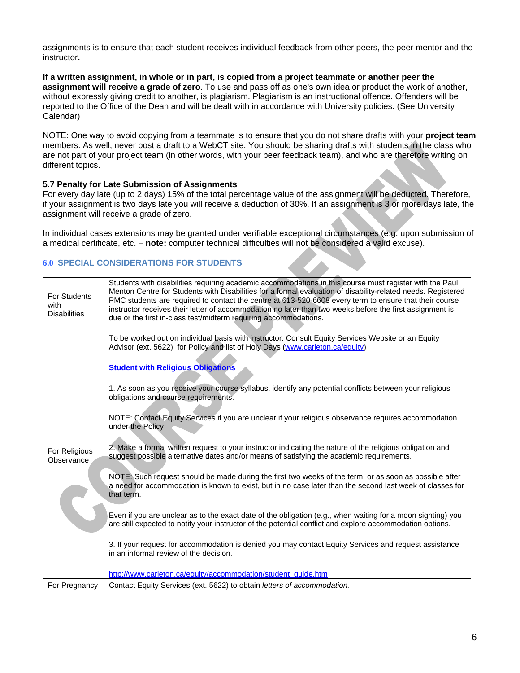assignments is to ensure that each student receives individual feedback from other peers, the peer mentor and the instructor**.** 

**If a written assignment, in whole or in part, is copied from a project teammate or another peer the assignment will receive a grade of zero**. To use and pass off as one's own idea or product the work of another, without expressly giving credit to another, is plagiarism. Plagiarism is an instructional offence. Offenders will be reported to the Office of the Dean and will be dealt with in accordance with University policies. (See University Calendar)

NOTE: One way to avoid copying from a teammate is to ensure that you do not share drafts with your **project team** members. As well, never post a draft to a WebCT site. You should be sharing drafts with students in the class who are not part of your project team (in other words, with your peer feedback team), and who are therefore writing on different topics.

# **5.7 Penalty for Late Submission of Assignments**

For every day late (up to 2 days) 15% of the total percentage value of the assignment will be deducted. Therefore, if your assignment is two days late you will receive a deduction of 30%. If an assignment is 3 or more days late, the assignment will receive a grade of zero.

In individual cases extensions may be granted under verifiable exceptional circumstances (e.g. upon submission of a medical certificate, etc. – **note:** computer technical difficulties will not be considered a valid excuse).

# **6.0 SPECIAL CONSIDERATIONS FOR STUDENTS**

| <b>For Students</b><br>with<br><b>Disabilities</b> | Students with disabilities requiring academic accommodations in this course must register with the Paul<br>Menton Centre for Students with Disabilities for a formal evaluation of disability-related needs. Registered<br>PMC students are required to contact the centre at 613-520-6608 every term to ensure that their course<br>instructor receives their letter of accommodation no later than two weeks before the first assignment is<br>due or the first in-class test/midterm requiring accommodations.                                                                                                                                                                                                                                                                                                                                                                                                                                                                                                                                                                                                                                                                                                                                                                                                                                                                                             |
|----------------------------------------------------|---------------------------------------------------------------------------------------------------------------------------------------------------------------------------------------------------------------------------------------------------------------------------------------------------------------------------------------------------------------------------------------------------------------------------------------------------------------------------------------------------------------------------------------------------------------------------------------------------------------------------------------------------------------------------------------------------------------------------------------------------------------------------------------------------------------------------------------------------------------------------------------------------------------------------------------------------------------------------------------------------------------------------------------------------------------------------------------------------------------------------------------------------------------------------------------------------------------------------------------------------------------------------------------------------------------------------------------------------------------------------------------------------------------|
| For Religious<br>Observance                        | To be worked out on individual basis with instructor. Consult Equity Services Website or an Equity<br>Advisor (ext. 5622) for Policy and list of Holy Days (www.carleton.ca/equity)<br><b>Student with Religious Obligations</b><br>1. As soon as you receive your course syllabus, identify any potential conflicts between your religious<br>obligations and course requirements.<br>NOTE: Contact Equity Services if you are unclear if your religious observance requires accommodation<br>under the Policy<br>2. Make a formal written request to your instructor indicating the nature of the religious obligation and<br>suggest possible alternative dates and/or means of satisfying the academic requirements.<br>NOTE: Such request should be made during the first two weeks of the term, or as soon as possible after<br>a need for accommodation is known to exist, but in no case later than the second last week of classes for<br>that term.<br>Even if you are unclear as to the exact date of the obligation (e.g., when waiting for a moon sighting) you<br>are still expected to notify your instructor of the potential conflict and explore accommodation options.<br>3. If your request for accommodation is denied you may contact Equity Services and request assistance<br>in an informal review of the decision.<br>http://www.carleton.ca/equity/accommodation/student_quide.htm |
| For Pregnancy                                      | Contact Equity Services (ext. 5622) to obtain letters of accommodation.                                                                                                                                                                                                                                                                                                                                                                                                                                                                                                                                                                                                                                                                                                                                                                                                                                                                                                                                                                                                                                                                                                                                                                                                                                                                                                                                       |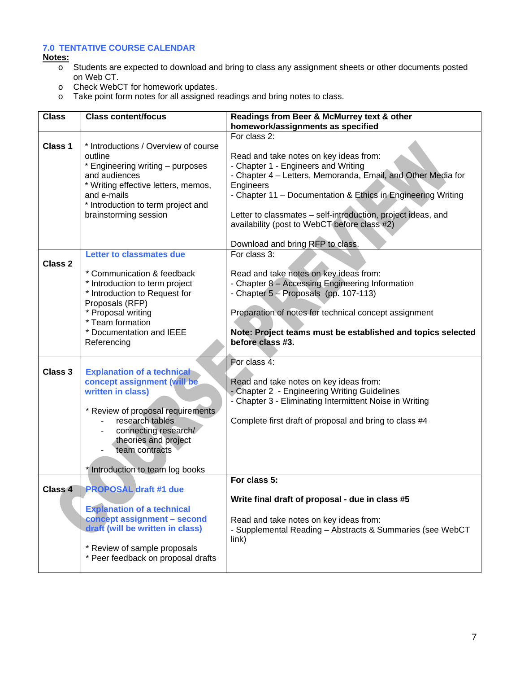# **7.0 TENTATIVE COURSE CALENDAR**

**Notes:**

- <u>oca.</u><br>○ Students are expected to download and bring to class any assignment sheets or other documents posted on Web CT.
- o Check WebCT for homework updates.
- o Take point form notes for all assigned readings and bring notes to class.

| <b>Class</b> | <b>Class content/focus</b>                                       | Readings from Beer & McMurrey text & other                         |
|--------------|------------------------------------------------------------------|--------------------------------------------------------------------|
|              |                                                                  | homework/assignments as specified                                  |
| Class 1      | * Introductions / Overview of course<br>outline                  | For class 2:<br>Read and take notes on key ideas from:             |
|              | * Engineering writing - purposes                                 | - Chapter 1 - Engineers and Writing                                |
|              | and audiences                                                    | - Chapter 4 - Letters, Memoranda, Email, and Other Media for       |
|              | * Writing effective letters, memos,                              | Engineers                                                          |
|              | and e-mails<br>* Introduction to term project and                | - Chapter 11 - Documentation & Ethics in Engineering Writing       |
|              | brainstorming session                                            | Letter to classmates - self-introduction, project ideas, and       |
|              |                                                                  | availability (post to WebCT before class #2)                       |
|              |                                                                  | Download and bring RFP to class.                                   |
| Class 2      | <b>Letter to classmates due</b>                                  | For class 3:                                                       |
|              | * Communication & feedback                                       | Read and take notes on key ideas from:                             |
|              | * Introduction to term project                                   | - Chapter 8 - Accessing Engineering Information                    |
|              | * Introduction to Request for                                    | - Chapter 5 - Proposals (pp. 107-113)                              |
|              | Proposals (RFP)                                                  |                                                                    |
|              | * Proposal writing<br>* Team formation                           | Preparation of notes for technical concept assignment              |
|              | * Documentation and IEEE                                         | Note: Project teams must be established and topics selected        |
|              | Referencing                                                      | before class #3.                                                   |
|              |                                                                  |                                                                    |
|              |                                                                  | For class 4:                                                       |
| Class 3      | <b>Explanation of a technical</b><br>concept assignment (will be | Read and take notes on key ideas from:                             |
|              | written in class)                                                | - Chapter 2 - Engineering Writing Guidelines                       |
|              |                                                                  | - Chapter 3 - Eliminating Intermittent Noise in Writing            |
|              | * Review of proposal requirements                                |                                                                    |
|              | research tables                                                  | Complete first draft of proposal and bring to class #4             |
|              | connecting research/                                             |                                                                    |
|              | theories and project<br>team contracts                           |                                                                    |
|              |                                                                  |                                                                    |
|              | * Introduction to team log books                                 |                                                                    |
|              |                                                                  | For class 5:                                                       |
| Class 4      | <b>PROPOSAL</b> draft #1 due                                     | Write final draft of proposal - due in class #5                    |
|              | <b>Explanation of a technical</b>                                |                                                                    |
|              | concept assignment - second                                      | Read and take notes on key ideas from:                             |
|              | draft (will be written in class)                                 | - Supplemental Reading - Abstracts & Summaries (see WebCT<br>link) |
|              | * Review of sample proposals                                     |                                                                    |
|              | * Peer feedback on proposal drafts                               |                                                                    |
|              |                                                                  |                                                                    |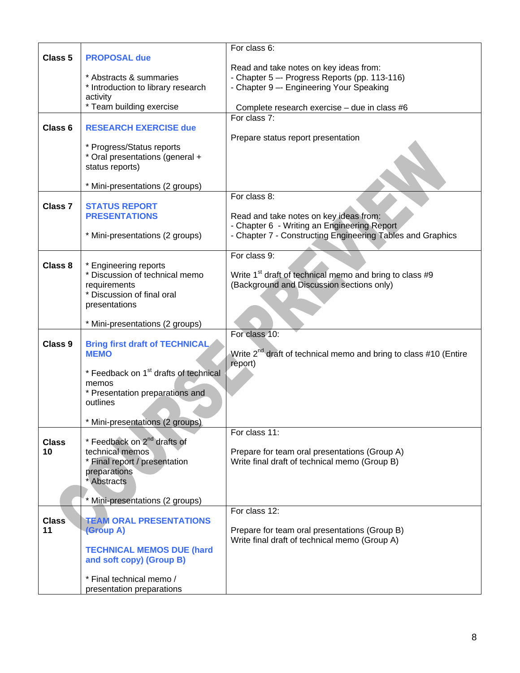|                    |                                                   | For class 6:                                                                 |
|--------------------|---------------------------------------------------|------------------------------------------------------------------------------|
| Class 5            | <b>PROPOSAL due</b>                               |                                                                              |
|                    |                                                   |                                                                              |
|                    |                                                   | Read and take notes on key ideas from:                                       |
|                    | * Abstracts & summaries                           | - Chapter 5 -- Progress Reports (pp. 113-116)                                |
|                    | * Introduction to library research                | - Chapter 9 -- Engineering Your Speaking                                     |
|                    | activity                                          |                                                                              |
|                    | * Team building exercise                          | Complete research exercise - due in class #6                                 |
|                    |                                                   | For class 7:                                                                 |
| Class 6            | <b>RESEARCH EXERCISE due</b>                      |                                                                              |
|                    |                                                   | Prepare status report presentation                                           |
|                    | * Progress/Status reports                         |                                                                              |
|                    | * Oral presentations (general +                   |                                                                              |
|                    | status reports)                                   |                                                                              |
|                    |                                                   |                                                                              |
|                    | * Mini-presentations (2 groups)                   |                                                                              |
|                    |                                                   | For class 8:                                                                 |
| Class <sub>7</sub> | <b>STATUS REPORT</b>                              |                                                                              |
|                    | <b>PRESENTATIONS</b>                              | Read and take notes on key ideas from:                                       |
|                    |                                                   | - Chapter 6 - Writing an Engineering Report                                  |
|                    | * Mini-presentations (2 groups)                   | - Chapter 7 - Constructing Engineering Tables and Graphics                   |
|                    |                                                   |                                                                              |
|                    |                                                   | For class 9:                                                                 |
| Class 8            | * Engineering reports                             |                                                                              |
|                    | * Discussion of technical memo                    | Write 1 <sup>st</sup> draft of technical memo and bring to class #9          |
|                    | requirements                                      | (Background and Discussion sections only)                                    |
|                    | * Discussion of final oral                        |                                                                              |
|                    | presentations                                     |                                                                              |
|                    |                                                   |                                                                              |
|                    | * Mini-presentations (2 groups)                   |                                                                              |
|                    |                                                   | For class 10:                                                                |
| Class 9            | <b>Bring first draft of TECHNICAL</b>             |                                                                              |
|                    | <b>MEMO</b>                                       | Write 2 <sup>nd</sup> draft of technical memo and bring to class #10 (Entire |
|                    |                                                   | report)                                                                      |
|                    | * Feedback on 1 <sup>st</sup> drafts of technical |                                                                              |
|                    | memos                                             |                                                                              |
|                    | * Presentation preparations and                   |                                                                              |
|                    | outlines                                          |                                                                              |
|                    |                                                   |                                                                              |
|                    | * Mini-presentations (2 groups)                   |                                                                              |
|                    |                                                   | For class 11:                                                                |
| <b>Class</b>       | * Feedback on 2 <sup>nd</sup> drafts of           |                                                                              |
| 10                 | technical memos                                   | Prepare for team oral presentations (Group A)                                |
|                    | * Final report / presentation                     | Write final draft of technical memo (Group B)                                |
|                    | preparations                                      |                                                                              |
|                    | * Abstracts                                       |                                                                              |
|                    |                                                   |                                                                              |
|                    | Mini-presentations (2 groups)                     |                                                                              |
|                    |                                                   | For class 12:                                                                |
| <b>Class</b>       | <b>TEAM ORAL PRESENTATIONS</b>                    |                                                                              |
| 11                 | (Group A)                                         | Prepare for team oral presentations (Group B)                                |
|                    |                                                   | Write final draft of technical memo (Group A)                                |
|                    | <b>TECHNICAL MEMOS DUE (hard</b>                  |                                                                              |
|                    | and soft copy) (Group B)                          |                                                                              |
|                    |                                                   |                                                                              |
|                    | * Final technical memo /                          |                                                                              |
|                    | presentation preparations                         |                                                                              |